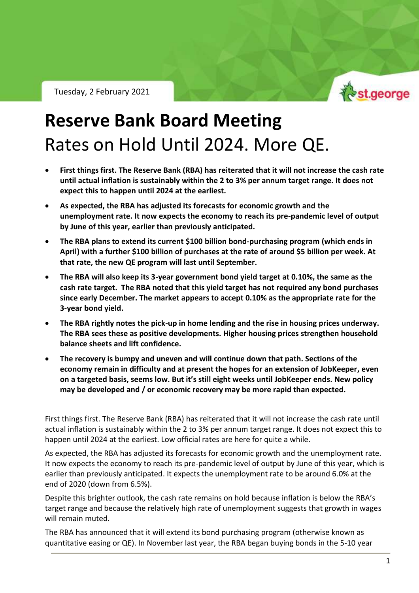Tuesday, 2 February 2021



RBA Policy Outlook – Tuesday 2 February 2021

## **Reserve Bank Board Meeting** Rates on Hold Until 2024. More QE.

- **First things first. The Reserve Bank (RBA) has reiterated that it will not increase the cash rate until actual inflation is sustainably within the 2 to 3% per annum target range. It does not expect this to happen until 2024 at the earliest.**
- **As expected, the RBA has adjusted its forecasts for economic growth and the unemployment rate. It now expects the economy to reach its pre-pandemic level of output by June of this year, earlier than previously anticipated.**
- **The RBA plans to extend its current \$100 billion bond-purchasing program (which ends in April) with a further \$100 billion of purchases at the rate of around \$5 billion per week. At that rate, the new QE program will last until September.**
- **The RBA will also keep its 3-year government bond yield target at 0.10%, the same as the cash rate target. The RBA noted that this yield target has not required any bond purchases since early December. The market appears to accept 0.10% as the appropriate rate for the 3-year bond yield.**
- **The RBA rightly notes the pick-up in home lending and the rise in housing prices underway. The RBA sees these as positive developments. Higher housing prices strengthen household balance sheets and lift confidence.**
- **The recovery is bumpy and uneven and will continue down that path. Sections of the economy remain in difficulty and at present the hopes for an extension of JobKeeper, even on a targeted basis, seems low. But it's still eight weeks until JobKeeper ends. New policy may be developed and / or economic recovery may be more rapid than expected.**

First things first. The Reserve Bank (RBA) has reiterated that it will not increase the cash rate until actual inflation is sustainably within the 2 to 3% per annum target range. It does not expect this to happen until 2024 at the earliest. Low official rates are here for quite a while.

As expected, the RBA has adjusted its forecasts for economic growth and the unemployment rate. It now expects the economy to reach its pre-pandemic level of output by June of this year, which is earlier than previously anticipated. It expects the unemployment rate to be around 6.0% at the end of 2020 (down from 6.5%).

Despite this brighter outlook, the cash rate remains on hold because inflation is below the RBA's target range and because the relatively high rate of unemployment suggests that growth in wages will remain muted.

The RBA has announced that it will extend its bond purchasing program (otherwise known as quantitative easing or QE). In November last year, the RBA began buying bonds in the 5-10 year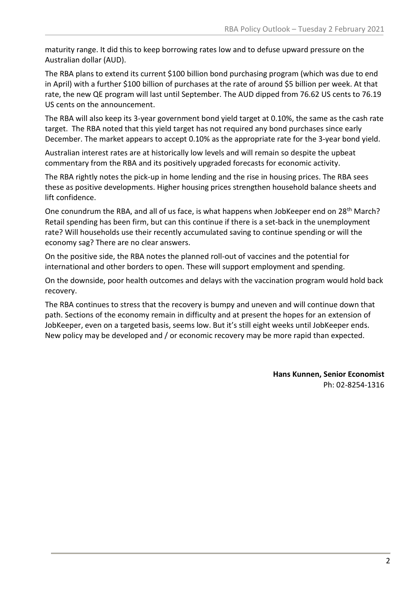maturity range. It did this to keep borrowing rates low and to defuse upward pressure on the Australian dollar (AUD).

The RBA plans to extend its current \$100 billion bond purchasing program (which was due to end in April) with a further \$100 billion of purchases at the rate of around \$5 billion per week. At that rate, the new QE program will last until September. The AUD dipped from 76.62 US cents to 76.19 US cents on the announcement.

The RBA will also keep its 3-year government bond yield target at 0.10%, the same as the cash rate target. The RBA noted that this yield target has not required any bond purchases since early December. The market appears to accept 0.10% as the appropriate rate for the 3-year bond yield.

Australian interest rates are at historically low levels and will remain so despite the upbeat commentary from the RBA and its positively upgraded forecasts for economic activity.

The RBA rightly notes the pick-up in home lending and the rise in housing prices. The RBA sees these as positive developments. Higher housing prices strengthen household balance sheets and lift confidence.

One conundrum the RBA, and all of us face, is what happens when JobKeeper end on 28<sup>th</sup> March? Retail spending has been firm, but can this continue if there is a set-back in the unemployment rate? Will households use their recently accumulated saving to continue spending or will the economy sag? There are no clear answers.

On the positive side, the RBA notes the planned roll-out of vaccines and the potential for international and other borders to open. These will support employment and spending.

On the downside, poor health outcomes and delays with the vaccination program would hold back recovery.

The RBA continues to stress that the recovery is bumpy and uneven and will continue down that path. Sections of the economy remain in difficulty and at present the hopes for an extension of JobKeeper, even on a targeted basis, seems low. But it's still eight weeks until JobKeeper ends. New policy may be developed and / or economic recovery may be more rapid than expected.

> **Hans Kunnen, Senior Economist** Ph: 02-8254-1316